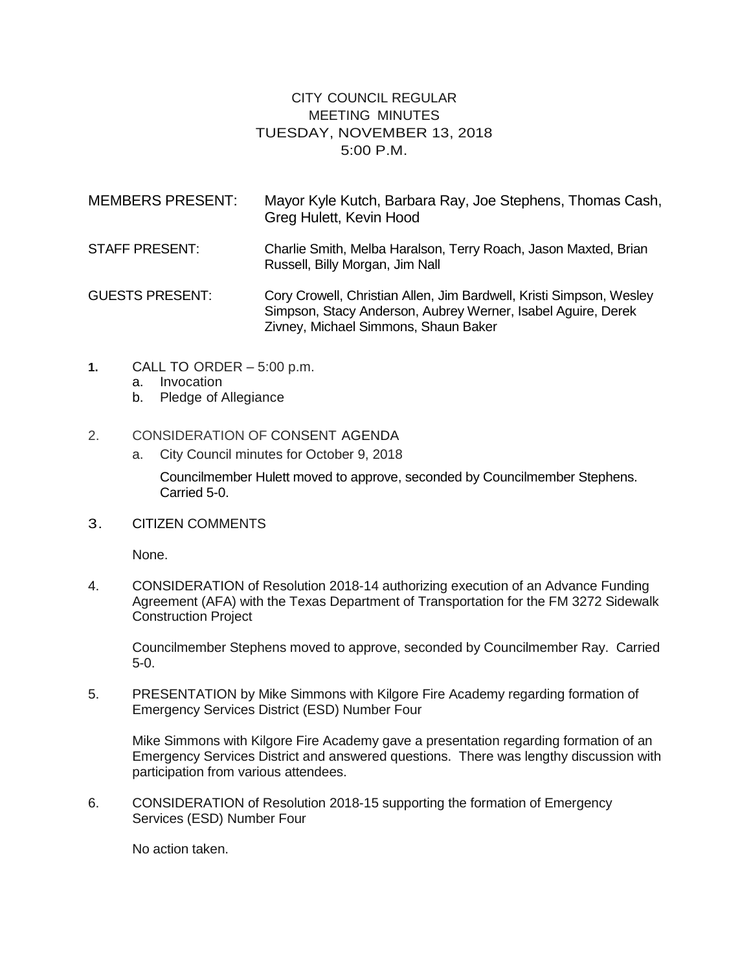## CITY COUNCIL REGULAR MEETING MINUTES TUESDAY, NOVEMBER 13, 2018 5:00 P.M.

| <b>MEMBERS PRESENT:</b> | Mayor Kyle Kutch, Barbara Ray, Joe Stephens, Thomas Cash,<br>Greg Hulett, Kevin Hood                                                                                        |
|-------------------------|-----------------------------------------------------------------------------------------------------------------------------------------------------------------------------|
| <b>STAFF PRESENT:</b>   | Charlie Smith, Melba Haralson, Terry Roach, Jason Maxted, Brian<br>Russell, Billy Morgan, Jim Nall                                                                          |
| <b>GUESTS PRESENT:</b>  | Cory Crowell, Christian Allen, Jim Bardwell, Kristi Simpson, Wesley<br>Simpson, Stacy Anderson, Aubrey Werner, Isabel Aguire, Derek<br>Zivney, Michael Simmons, Shaun Baker |

- **1.** CALL TO ORDER 5:00 p.m.
	- a. Invocation
	- b. Pledge of Allegiance
- 2. CONSIDERATION OF CONSENT AGENDA
	- a. City Council minutes for October 9, 2018

Councilmember Hulett moved to approve, seconded by Councilmember Stephens. Carried 5-0.

3. CITIZEN COMMENTS

None.

4. CONSIDERATION of Resolution 2018-14 authorizing execution of an Advance Funding Agreement (AFA) with the Texas Department of Transportation for the FM 3272 Sidewalk Construction Project

Councilmember Stephens moved to approve, seconded by Councilmember Ray. Carried 5-0.

5. PRESENTATION by Mike Simmons with Kilgore Fire Academy regarding formation of Emergency Services District (ESD) Number Four

Mike Simmons with Kilgore Fire Academy gave a presentation regarding formation of an Emergency Services District and answered questions. There was lengthy discussion with participation from various attendees.

6. CONSIDERATION of Resolution 2018-15 supporting the formation of Emergency Services (ESD) Number Four

No action taken.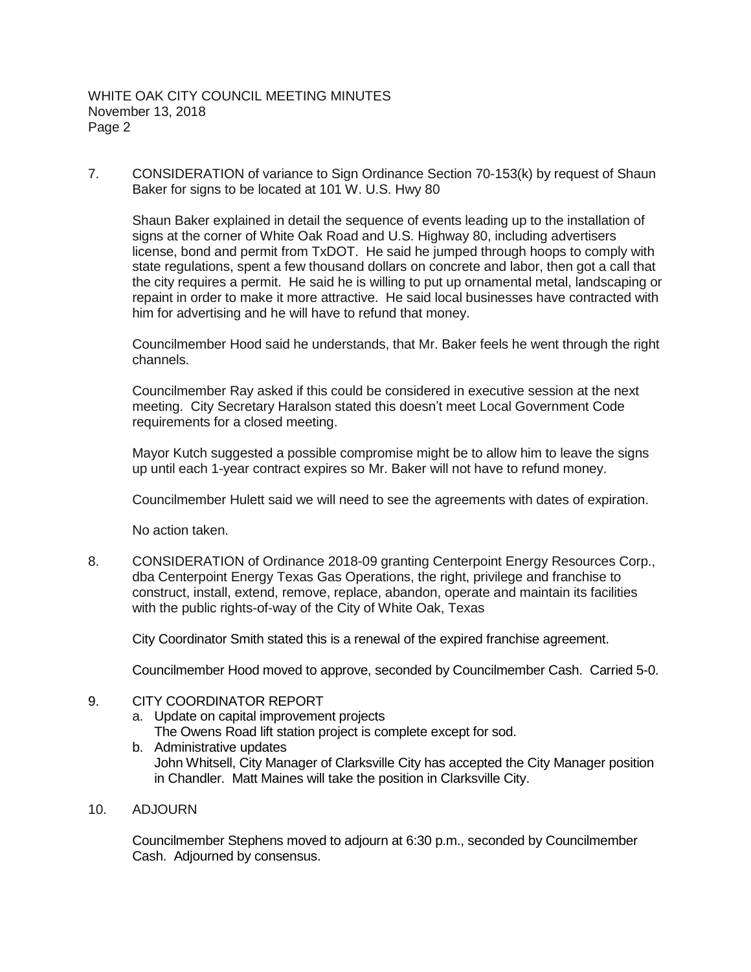7. CONSIDERATION of variance to Sign Ordinance Section 70-153(k) by request of Shaun Baker for signs to be located at 101 W. U.S. Hwy 80

Shaun Baker explained in detail the sequence of events leading up to the installation of signs at the corner of White Oak Road and U.S. Highway 80, including advertisers license, bond and permit from TxDOT. He said he jumped through hoops to comply with state regulations, spent a few thousand dollars on concrete and labor, then got a call that the city requires a permit. He said he is willing to put up ornamental metal, landscaping or repaint in order to make it more attractive. He said local businesses have contracted with him for advertising and he will have to refund that money.

Councilmember Hood said he understands, that Mr. Baker feels he went through the right channels.

Councilmember Ray asked if this could be considered in executive session at the next meeting. City Secretary Haralson stated this doesn't meet Local Government Code requirements for a closed meeting.

Mayor Kutch suggested a possible compromise might be to allow him to leave the signs up until each 1-year contract expires so Mr. Baker will not have to refund money.

Councilmember Hulett said we will need to see the agreements with dates of expiration.

No action taken.

8. CONSIDERATION of Ordinance 2018-09 granting Centerpoint Energy Resources Corp., dba Centerpoint Energy Texas Gas Operations, the right, privilege and franchise to construct, install, extend, remove, replace, abandon, operate and maintain its facilities with the public rights-of-way of the City of White Oak, Texas

City Coordinator Smith stated this is a renewal of the expired franchise agreement.

Councilmember Hood moved to approve, seconded by Councilmember Cash. Carried 5-0.

## 9. CITY COORDINATOR REPORT

a. Update on capital improvement projects

The Owens Road lift station project is complete except for sod.

- b. Administrative updates John Whitsell, City Manager of Clarksville City has accepted the City Manager position in Chandler. Matt Maines will take the position in Clarksville City.
- 10. ADJOURN

Councilmember Stephens moved to adjourn at 6:30 p.m., seconded by Councilmember Cash. Adjourned by consensus.